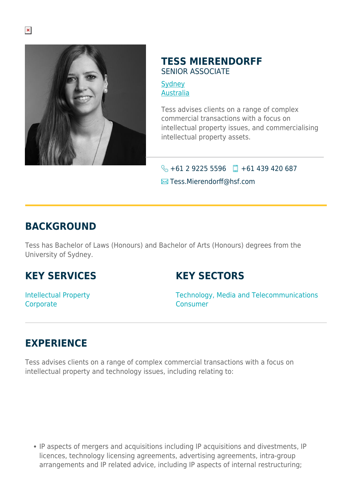

#### **TESS MIERENDORFF** SENIOR ASSOCIATE

**[Sydney](https://www.herbertsmithfreehills.com/where-we-work/sydney)** [Australia](https://www.herbertsmithfreehills.com/where-we-work/australia)

Tess advises clients on a range of complex commercial transactions with a focus on intellectual property issues, and commercialising intellectual property assets.

#### $\bigodot$  +61 2 9225 5596  $\Box$  +61 439 420 687

**Execute Tess.Mierendorff@hsf.com** 

### **BACKGROUND**

Tess has Bachelor of Laws (Honours) and Bachelor of Arts (Honours) degrees from the University of Sydney.

# **KEY SERVICES**

#### **KEY SECTORS**

Intellectual Property **Corporate** 

Technology, Media and Telecommunications Consumer

# **EXPERIENCE**

Tess advises clients on a range of complex commercial transactions with a focus on intellectual property and technology issues, including relating to:

IP aspects of mergers and acquisitions including IP acquisitions and divestments, IP licences, technology licensing agreements, advertising agreements, intra-group arrangements and IP related advice, including IP aspects of internal restructuring;